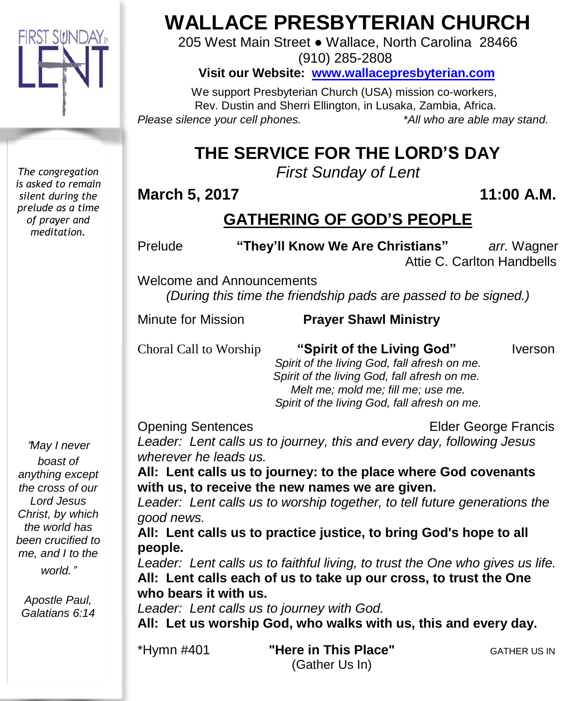

*The congregation is asked to remain silent during the prelude as a time of prayer and meditation.*

# **WALLACE PRESBYTERIAN CHURCH**

205 West Main Street ● Wallace, North Carolina 28466 (910) 285-2808

**Visit our Website: [www.wallacepresbyterian.com](http://www.wallacepresbyterian.com/)**

 We support Presbyterian Church (USA) mission co-workers, Rev. Dustin and Sherri Ellington, in Lusaka, Zambia, Africa. *Please silence your cell phones. \*All who are able may stand.*

# **THE SERVICE FOR THE LORD'S DAY**

*First Sunday of Lent*

## **March 5, 2017 11:00 A.M.**

# **GATHERING OF GOD'S PEOPLE**

Prelude **"They'll Know We Are Christians"** *arr.* Wagner Attie C. Carlton Handbells

Welcome and Announcements *(During this time the friendship pads are passed to be signed.)*

Minute for Mission **Prayer Shawl Ministry**

Choral Call to Worship **"Spirit of the Living God"** Iverson  *Spirit of the living God, fall afresh on me. Spirit of the living God, fall afresh on me. Melt me; mold me; fill me; use me. Spirit of the living God, fall afresh on me.*

"*May I never boast of anything except the cross of our Lord Jesus Christ, by which the world has been crucified to me, and I to the world.*"

*Apostle Paul, Galatians 6:14* Opening Sentences Elder George Francis *Leader: Lent calls us to journey, this and every day, following Jesus wherever he leads us.*

**All: Lent calls us to journey: to the place where God covenants with us, to receive the new names we are given.**

*Leader: Lent calls us to worship together, to tell future generations the good news.*

**All: Lent calls us to practice justice, to bring God's hope to all people.**

*Leader: Lent calls us to faithful living, to trust the One who gives us life.* **All: Lent calls each of us to take up our cross, to trust the One who bears it with us.**

*Leader: Lent calls us to journey with God.* **All: Let us worship God, who walks with us, this and every day.**

\*Hymn #401 **"Here in This Place"** GATHER US IN (Gather Us In)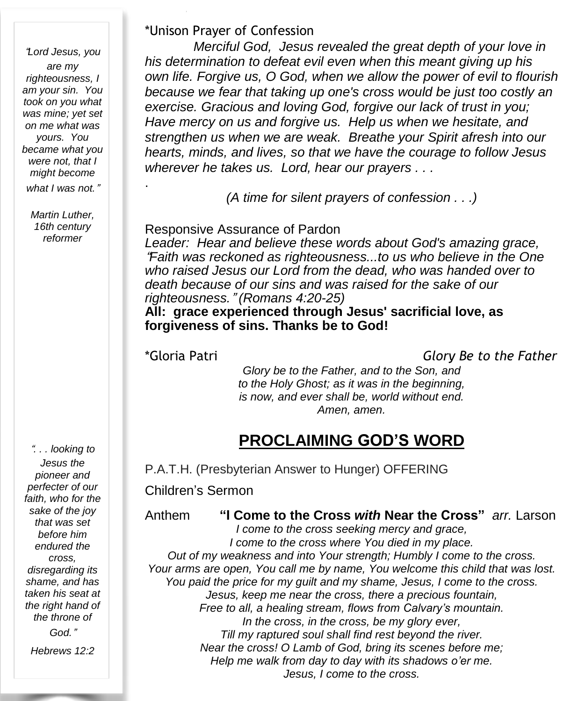"*Lord Jesus, you are my righteousness, I am your sin. You took on you what was mine; yet set on me what was yours. You became what you were not, that I might become what I was not.*"

> *Martin Luther, 16th century reformer*

"*. . . looking to Jesus the pioneer and perfecter of our faith, who for the sake of the joy that was set before him endured the cross, disregarding its shame, and has taken his seat at the right hand of the throne of God.*" *Hebrews 12:2*

### \*Unison Prayer of Confession

*Merciful God, Jesus revealed the great depth of your love in his determination to defeat evil even when this meant giving up his own life. Forgive us, O God, when we allow the power of evil to flourish because we fear that taking up one's cross would be just too costly an exercise. Gracious and loving God, forgive our lack of trust in you; Have mercy on us and forgive us. Help us when we hesitate, and strengthen us when we are weak. Breathe your Spirit afresh into our hearts, minds, and lives, so that we have the courage to follow Jesus wherever he takes us. Lord, hear our prayers . . .*

*(A time for silent prayers of confession . . .)*

### Responsive Assurance of Pardon

*Leader: Hear and believe these words about God's amazing grace,* "*Faith was reckoned as righteousness...to us who believe in the One who raised Jesus our Lord from the dead, who was handed over to death because of our sins and was raised for the sake of our righteousness.*" *(Romans 4:20-25)*

### **All: grace experienced through Jesus' sacrificial love, as forgiveness of sins. Thanks be to God!**

\*Gloria Patri *Glory Be to the Father*

*Glory be to the Father, and to the Son, and to the Holy Ghost; as it was in the beginning, is now, and ever shall be, world without end. Amen, amen.*

# **PROCLAIMING GOD'S WORD**

P.A.T.H. (Presbyterian Answer to Hunger) OFFERING

### Children's Sermon

.

## Anthem **"I Come to the Cross** *with* **Near the Cross"** *arr.* Larson

*I come to the cross seeking mercy and grace, I come to the cross where You died in my place. Out of my weakness and into Your strength; Humbly I come to the cross. Your arms are open, You call me by name, You welcome this child that was lost. You paid the price for my guilt and my shame, Jesus, I come to the cross. Jesus, keep me near the cross, there a precious fountain, Free to all, a healing stream, flows from Calvary's mountain. In the cross, in the cross, be my glory ever, Till my raptured soul shall find rest beyond the river. Near the cross! O Lamb of God, bring its scenes before me; Help me walk from day to day with its shadows o'er me. Jesus, I come to the cross.*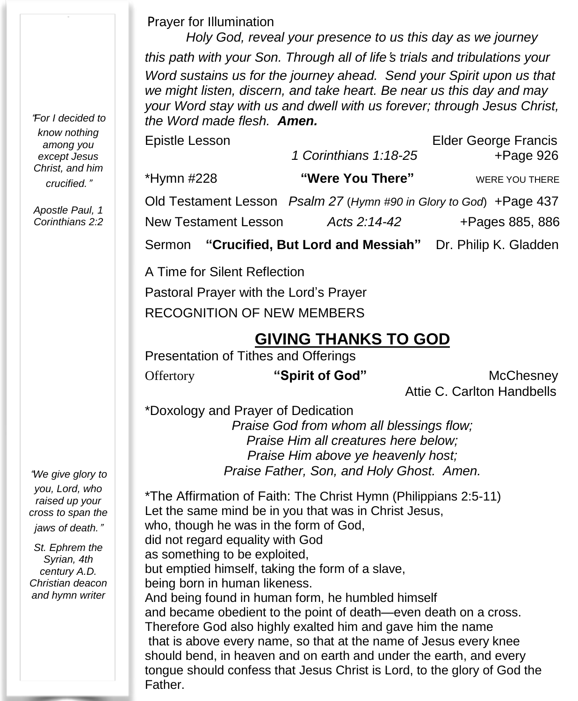Prayer for Illumination

*Holy God, reveal your presence to us this day as we journey this path with your Son. Through all of life*'*s trials and tribulations your Word sustains us for the journey ahead. Send your Spirit upon us that we might listen, discern, and take heart. Be near us this day and may your Word stay with us and dwell with us forever; through Jesus Christ, the Word made flesh. Amen.*

| Epistle Lesson                                                 |                                                                     | <b>Elder George Francis</b> |
|----------------------------------------------------------------|---------------------------------------------------------------------|-----------------------------|
|                                                                | 1 Corinthians 1:18-25                                               | $+$ Page 926                |
| *Hymn #228                                                     | "Were You There"                                                    | <b>WERE YOU THERE</b>       |
|                                                                | Old Testament Lesson Psalm 27 (Hymn #90 in Glory to God) + Page 437 |                             |
| <b>New Testament Lesson</b>                                    | Acts 2:14-42                                                        | +Pages 885, 886             |
| Sermon "Crucified, But Lord and Messiah" Dr. Philip K. Gladden |                                                                     |                             |

A Time for Silent Reflection Pastoral Prayer with the Lord's Prayer RECOGNITION OF NEW MEMBERS

## **GIVING THANKS TO GOD**

Presentation of Tithes and Offerings Offertory **"Spirit of God"** McChesney

Attie C. Carlton Handbells

\*Doxology and Prayer of Dedication *Praise God from whom all blessings flow; Praise Him all creatures here below; Praise Him above ye heavenly host; Praise Father, Son, and Holy Ghost. Amen.*

\*The Affirmation of Faith: The Christ Hymn (Philippians 2:5-11) Let the same mind be in you that was in Christ Jesus, who, though he was in the form of God, did not regard equality with God as something to be exploited, but emptied himself, taking the form of a slave, being born in human likeness. And being found in human form, he humbled himself and became obedient to the point of death—even death on a cross. Therefore God also highly exalted him and gave him the name that is above every name, so that at the name of Jesus every knee should bend, in heaven and on earth and under the earth, and every tongue should confess that Jesus Christ is Lord, to the glory of God the Father.

"*For I decided to know nothing among you except Jesus Christ, and him crucified.*"

*Apostle Paul, 1 Corinthians 2:2*

"*We give glory to you, Lord, who raised up your cross to span the jaws of death.*"

*St. Ephrem the Syrian, 4th century A.D. Christian deacon and hymn writer*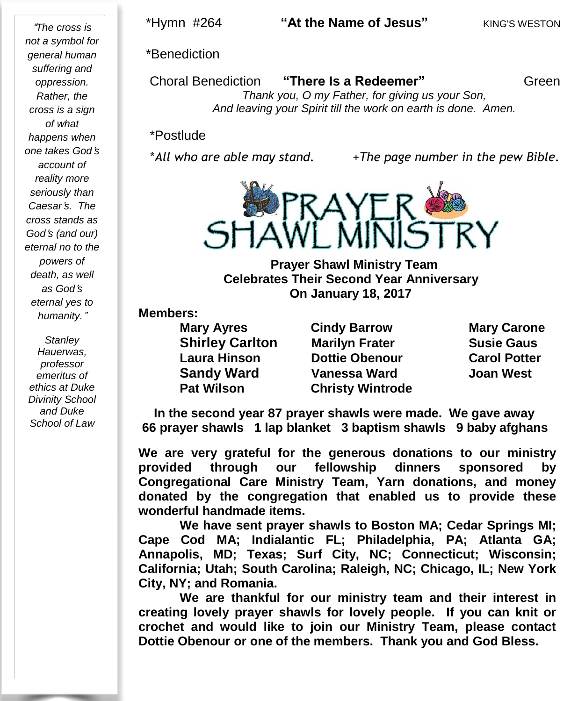\*Hymn #264 **"At the Name of Jesus"** KING'S WESTON

\*Benediction

 Choral Benediction **"There Is a Redeemer"** Green  *Thank you, O my Father, for giving us your Son, And leaving your Spirit till the work on earth is done. Amen.*

\*Postlude

\**All who are able may stand.* +*The page number in the pew Bible.*

SHAWLMINISTRY

 **Prayer Shawl Ministry Team Celebrates Their Second Year Anniversary On January 18, 2017**

#### **Members:**

**Mary Ayres Cindy Barrow Mary Carone Shirley Carlton Marilyn Frater Susie Gaus Laura Hinson Dottie Obenour Carol Potter Sandy Ward Vanessa Ward Joan West Pat Wilson Christy Wintrode**

 **In the second year 87 prayer shawls were made. We gave away 66 prayer shawls 1 lap blanket 3 baptism shawls 9 baby afghans**

**We are very grateful for the generous donations to our ministry provided through our fellowship dinners sponsored by Congregational Care Ministry Team, Yarn donations, and money donated by the congregation that enabled us to provide these wonderful handmade items.**

**We have sent prayer shawls to Boston MA; Cedar Springs MI; Cape Cod MA; Indialantic FL; Philadelphia, PA; Atlanta GA; Annapolis, MD; Texas; Surf City, NC; Connecticut; Wisconsin; California; Utah; South Carolina; Raleigh, NC; Chicago, IL; New York City, NY; and Romania.**

**We are thankful for our ministry team and their interest in creating lovely prayer shawls for lovely people. If you can knit or crochet and would like to join our Ministry Team, please contact Dottie Obenour or one of the members. Thank you and God Bless.**

"*The cross is not a symbol for general human suffering and oppression. Rather, the cross is a sign of what happens when one takes God*'*s account of reality more seriously than Caesar*'*s. The cross stands as God*'*s (and our) eternal no to the powers of death, as well as God*'*s eternal yes to humanity.*"

*Stanley Hauerwas, professor emeritus of ethics at Duke Divinity School and Duke School of Law*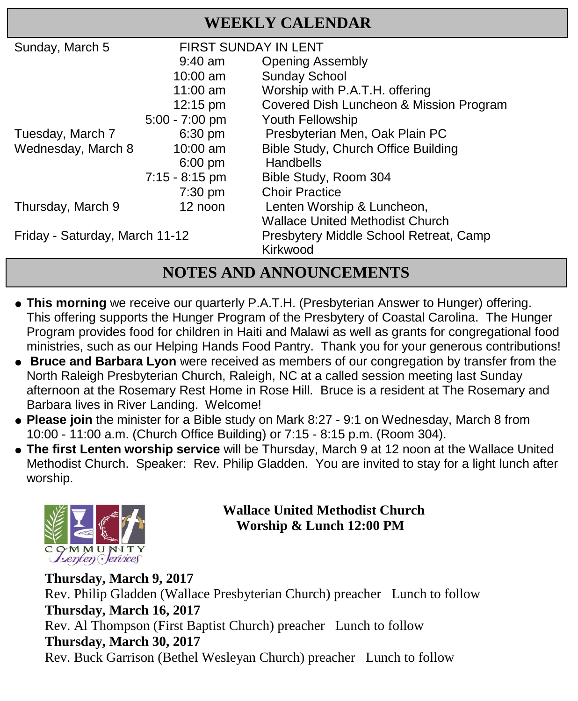| <b>WEEKLY CALENDAR</b>         |                             |                                         |  |
|--------------------------------|-----------------------------|-----------------------------------------|--|
| Sunday, March 5                | <b>FIRST SUNDAY IN LENT</b> |                                         |  |
|                                | $9:40$ am                   | <b>Opening Assembly</b>                 |  |
|                                | $10:00$ am                  | <b>Sunday School</b>                    |  |
|                                | $11:00$ am                  | Worship with P.A.T.H. offering          |  |
|                                | $12:15 \text{ pm}$          | Covered Dish Luncheon & Mission Program |  |
|                                | $5:00 - 7:00$ pm            | Youth Fellowship                        |  |
| Tuesday, March 7               | $6:30$ pm                   | Presbyterian Men, Oak Plain PC          |  |
| Wednesday, March 8             | $10:00$ am                  | Bible Study, Church Office Building     |  |
|                                | $6:00$ pm                   | Handbells                               |  |
|                                | $7:15 - 8:15$ pm            | Bible Study, Room 304                   |  |
|                                | $7:30$ pm                   | <b>Choir Practice</b>                   |  |
| Thursday, March 9              | 12 noon                     | Lenten Worship & Luncheon,              |  |
|                                |                             | <b>Wallace United Methodist Church</b>  |  |
| Friday - Saturday, March 11-12 |                             | Presbytery Middle School Retreat, Camp  |  |
|                                |                             | Kirkwood                                |  |

# **NOTES AND ANNOUNCEMENTS**

- **This morning** we receive our quarterly P.A.T.H. (Presbyterian Answer to Hunger) offering. This offering supports the Hunger Program of the Presbytery of Coastal Carolina. The Hunger Program provides food for children in Haiti and Malawi as well as grants for congregational food ministries, such as our Helping Hands Food Pantry. Thank you for your generous contributions!
- **Bruce and Barbara Lyon** were received as members of our congregation by transfer from the North Raleigh Presbyterian Church, Raleigh, NC at a called session meeting last Sunday afternoon at the Rosemary Rest Home in Rose Hill. Bruce is a resident at The Rosemary and Barbara lives in River Landing. Welcome!
- **Please join** the minister for a Bible study on Mark 8:27 9:1 on Wednesday, March 8 from 10:00 - 11:00 a.m. (Church Office Building) or 7:15 - 8:15 p.m. (Room 304).
- **The first Lenten worship service** will be Thursday, March 9 at 12 noon at the Wallace United Methodist Church. Speaker: Rev. Philip Gladden. You are invited to stay for a light lunch after worship.



## **Wallace United Methodist Church Worship & Lunch 12:00 PM**

 **Thursday, March 9, 2017** Rev. Philip Gladden (Wallace Presbyterian Church) preacher Lunch to follow  **Thursday, March 16, 2017** Rev. Al Thompson (First Baptist Church) preacher Lunch to follow  **Thursday, March 30, 2017** Rev. Buck Garrison (Bethel Wesleyan Church) preacher Lunch to follow